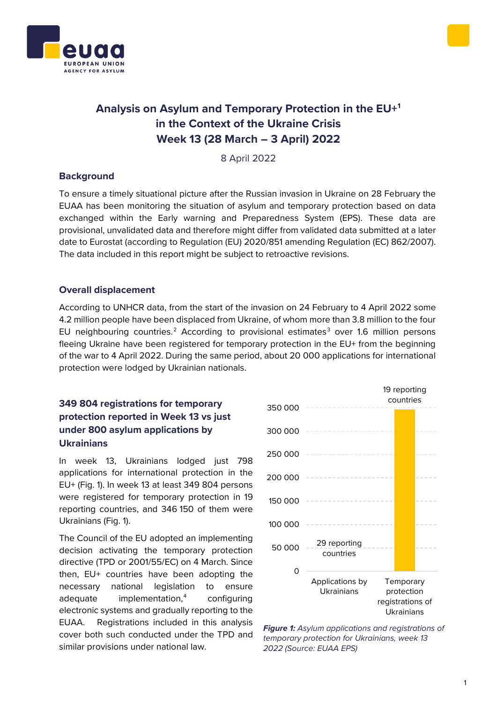



# **Analysis on Asylum and Temporary Protection in the EU[+1](#page-1-0) in the Context of the Ukraine Crisis Week 13 (28 March – 3 April) 2022**

8 April 2022

#### **Background**

To ensure a timely situational picture after the Russian invasion in Ukraine on 28 February the EUAA has been monitoring the situation of asylum and temporary protection based on data exchanged within the Early warning and Preparedness System (EPS). These data are provisional, unvalidated data and therefore might differ from validated data submitted at a later date to Eurostat (according to Regulation (EU) 2020/851 amending Regulation (EC) 862/2007). The data included in this report might be subject to retroactive revisions.

### **Overall displacement**

According to UNHCR data, from the start of the invasion on 24 February to 4 April 2022 some 4.2 million people have been displaced from Ukraine, of whom more than 3.8 million to the four EU neighbouring countries.<sup>[2](#page-1-1)</sup> According to provisional estimates<sup>[3](#page-1-2)</sup> over 1.6 million persons fleeing Ukraine have been registered for temporary protection in the EU+ from the beginning of the war to 4 April 2022. During the same period, about 20 000 applications for international protection were lodged by Ukrainian nationals.

### **349 804 registrations for temporary protection reported in Week 13 vs just under 800 asylum applications by Ukrainians**

In week 13, Ukrainians lodged just 798 applications for international protection in the EU+ (Fig. 1). In week 13 at least 349 804 persons were registered for temporary protection in 19 reporting countries, and 346 150 of them were Ukrainians (Fig. 1).

The Council of the EU adopted an implementing decision activating the temporary protection directive (TPD or 2001/55/EC) on 4 March. Since then, EU+ countries have been adopting the necessary national legislation to ensure adequate implementation,<sup>4</sup> configuring electronic systems and gradually reporting to the EUAA. Registrations included in this analysis cover both such conducted under the TPD and similar provisions under national law.